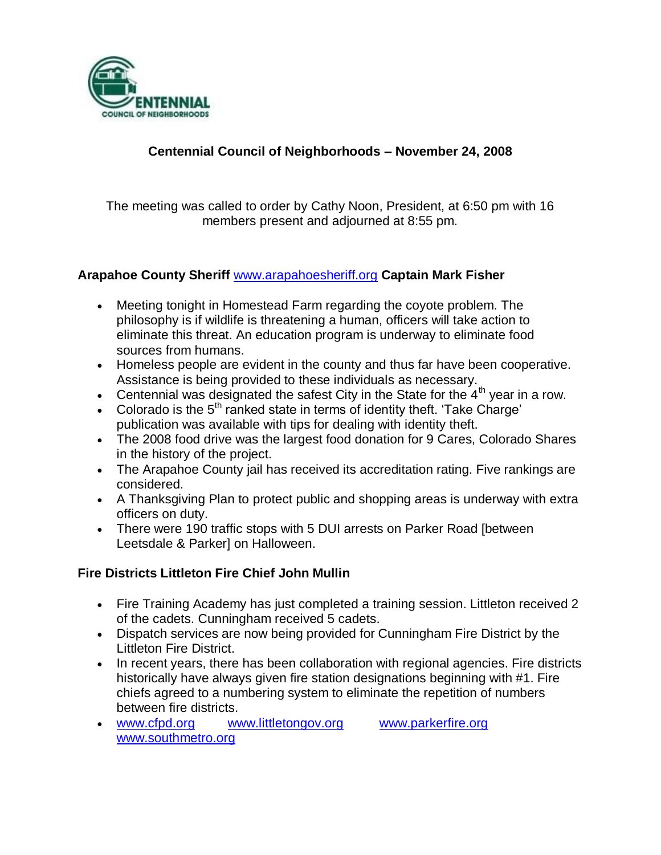

## **Centennial Council of Neighborhoods – November 24, 2008**

The meeting was called to order by Cathy Noon, President, at 6:50 pm with 16 members present and adjourned at 8:55 pm.

#### **Arapahoe County Sheriff** [www.arapahoesheriff.org](http://www.arapahoesheriff.org/) **Captain Mark Fisher**

- Meeting tonight in Homestead Farm regarding the coyote problem. The philosophy is if wildlife is threatening a human, officers will take action to eliminate this threat. An education program is underway to eliminate food sources from humans.
- Homeless people are evident in the county and thus far have been cooperative. Assistance is being provided to these individuals as necessary.
- Centennial was designated the safest City in the State for the  $4<sup>th</sup>$  year in a row.
- Colorado is the  $5<sup>th</sup>$  ranked state in terms of identity theft. 'Take Charge' publication was available with tips for dealing with identity theft.
- The 2008 food drive was the largest food donation for 9 Cares, Colorado Shares in the history of the project.
- The Arapahoe County jail has received its accreditation rating. Five rankings are considered.
- A Thanksgiving Plan to protect public and shopping areas is underway with extra officers on duty.
- There were 190 traffic stops with 5 DUI arrests on Parker Road [between Leetsdale & Parker] on Halloween.

#### **Fire Districts Littleton Fire Chief John Mullin**

- Fire Training Academy has just completed a training session. Littleton received 2 of the cadets. Cunningham received 5 cadets.
- Dispatch services are now being provided for Cunningham Fire District by the Littleton Fire District.
- In recent years, there has been collaboration with regional agencies. Fire districts historically have always given fire station designations beginning with #1. Fire chiefs agreed to a numbering system to eliminate the repetition of numbers between fire districts.
- [www.cfpd.org](http://www.cfpd.org/) [www.littletongov.org](http://www.littletongov.org/) [www.parkerfire.org](http://www.parkerfire.org/)  [www.southmetro.org](http://www.southmetro.org/)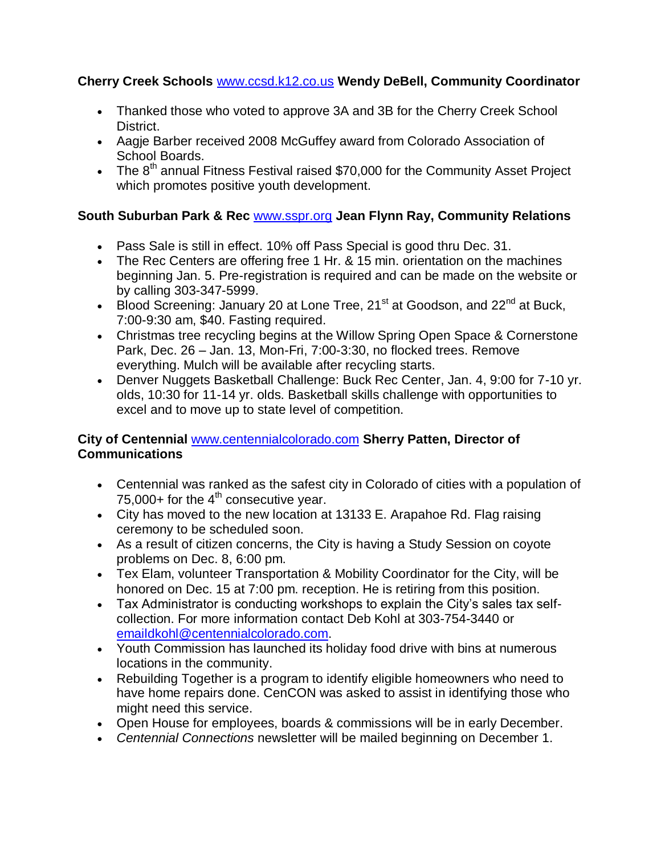## **Cherry Creek Schools** [www.ccsd.k12.co.us](http://www.ccsd.k12.co.us/) **Wendy DeBell, Community Coordinator**

- Thanked those who voted to approve 3A and 3B for the Cherry Creek School District.
- Aagje Barber received 2008 McGuffey award from Colorado Association of School Boards.
- The 8<sup>th</sup> annual Fitness Festival raised \$70,000 for the Community Asset Project which promotes positive youth development.

## **South Suburban Park & Rec** [www.sspr.org](http://www.sspr.org/) **Jean Flynn Ray, Community Relations**

- Pass Sale is still in effect. 10% off Pass Special is good thru Dec. 31.
- The Rec Centers are offering free 1 Hr. & 15 min. orientation on the machines beginning Jan. 5. Pre-registration is required and can be made on the website or by calling 303-347-5999.
- $\cdot$  Blood Screening: January 20 at Lone Tree, 21<sup>st</sup> at Goodson, and 22<sup>nd</sup> at Buck, 7:00-9:30 am, \$40. Fasting required.
- Christmas tree recycling begins at the Willow Spring Open Space & Cornerstone Park, Dec. 26 – Jan. 13, Mon-Fri, 7:00-3:30, no flocked trees. Remove everything. Mulch will be available after recycling starts.
- Denver Nuggets Basketball Challenge: Buck Rec Center, Jan. 4, 9:00 for 7-10 yr. olds, 10:30 for 11-14 yr. olds. Basketball skills challenge with opportunities to excel and to move up to state level of competition.

## **City of Centennial** [www.centennialcolorado.com](http://www.centennialcolorado.com/) **Sherry Patten, Director of Communications**

- Centennial was ranked as the safest city in Colorado of cities with a population of 75,000+ for the  $4<sup>th</sup>$  consecutive year.
- City has moved to the new location at 13133 E. Arapahoe Rd. Flag raising ceremony to be scheduled soon.
- As a result of citizen concerns, the City is having a Study Session on coyote problems on Dec. 8, 6:00 pm.
- Tex Elam, volunteer Transportation & Mobility Coordinator for the City, will be honored on Dec. 15 at 7:00 pm. reception. He is retiring from this position.
- Tax Administrator is conducting workshops to explain the City's sales tax selfcollection. For more information contact Deb Kohl at 303-754-3440 or [emaildkohl@centennialcolorado.com.](mailto:emaildkohl@centennialcolorado.com)
- Youth Commission has launched its holiday food drive with bins at numerous locations in the community.
- Rebuilding Together is a program to identify eligible homeowners who need to have home repairs done. CenCON was asked to assist in identifying those who might need this service.
- Open House for employees, boards & commissions will be in early December.
- *Centennial Connections* newsletter will be mailed beginning on December 1.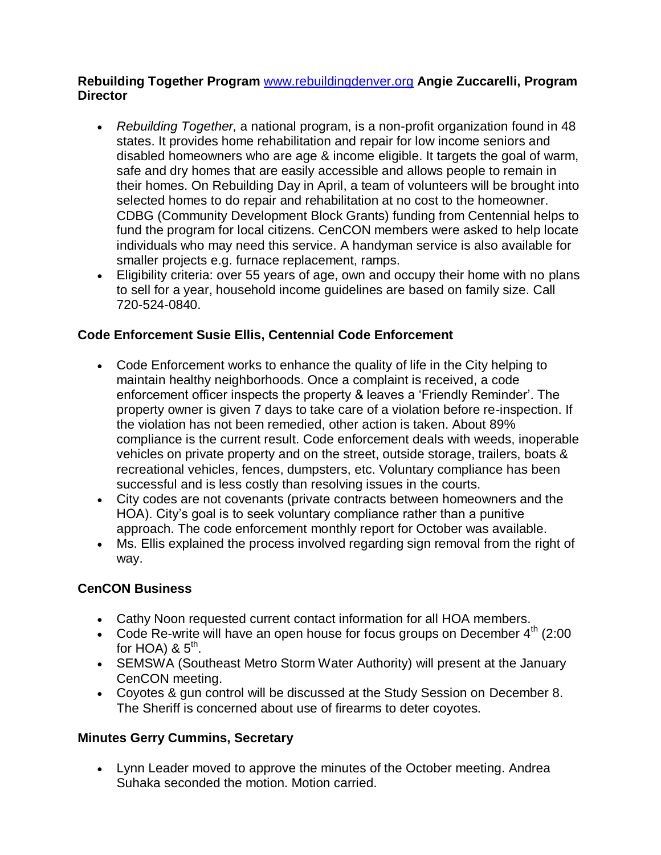#### **Rebuilding Together Program** [www.rebuildingdenver.org](http://www.rebuildingdenver.org/) **Angie Zuccarelli, Program Director**

- *Rebuilding Together,* a national program, is a non-profit organization found in 48 states. It provides home rehabilitation and repair for low income seniors and disabled homeowners who are age & income eligible. It targets the goal of warm, safe and dry homes that are easily accessible and allows people to remain in their homes. On Rebuilding Day in April, a team of volunteers will be brought into selected homes to do repair and rehabilitation at no cost to the homeowner. CDBG (Community Development Block Grants) funding from Centennial helps to fund the program for local citizens. CenCON members were asked to help locate individuals who may need this service. A handyman service is also available for smaller projects e.g. furnace replacement, ramps.
- Eligibility criteria: over 55 years of age, own and occupy their home with no plans to sell for a year, household income guidelines are based on family size. Call 720-524-0840.

## **Code Enforcement Susie Ellis, Centennial Code Enforcement**

- Code Enforcement works to enhance the quality of life in the City helping to maintain healthy neighborhoods. Once a complaint is received, a code enforcement officer inspects the property & leaves a 'Friendly Reminder'. The property owner is given 7 days to take care of a violation before re-inspection. If the violation has not been remedied, other action is taken. About 89% compliance is the current result. Code enforcement deals with weeds, inoperable vehicles on private property and on the street, outside storage, trailers, boats & recreational vehicles, fences, dumpsters, etc. Voluntary compliance has been successful and is less costly than resolving issues in the courts.
- City codes are not covenants (private contracts between homeowners and the HOA). City's goal is to seek voluntary compliance rather than a punitive approach. The code enforcement monthly report for October was available.
- Ms. Ellis explained the process involved regarding sign removal from the right of way.

## **CenCON Business**

- Cathy Noon requested current contact information for all HOA members.
- Code Re-write will have an open house for focus groups on December  $4<sup>th</sup>$  (2:00) for HOA) &  $5^{\text{th}}$ .
- SEMSWA (Southeast Metro Storm Water Authority) will present at the January CenCON meeting.
- Coyotes & gun control will be discussed at the Study Session on December 8. The Sheriff is concerned about use of firearms to deter coyotes.

## **Minutes Gerry Cummins, Secretary**

 Lynn Leader moved to approve the minutes of the October meeting. Andrea Suhaka seconded the motion. Motion carried.